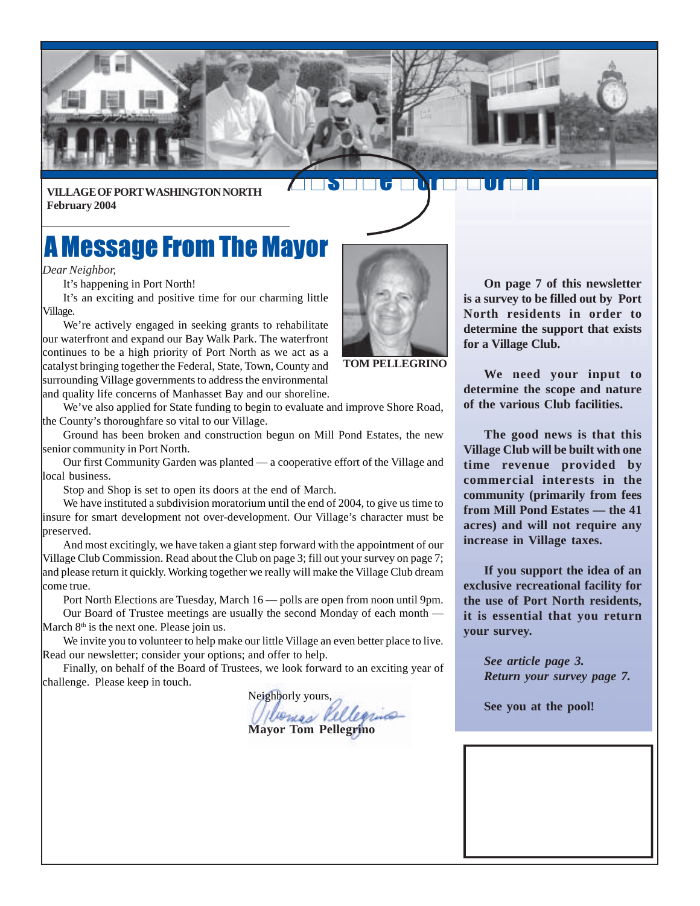

**VILLAGE OF PORT WASHINGTON NORTH February 2004**

## A Message From The Mayor<del>d State P</del>ort North

*Dear Neighbor,*

It's happening in Port North!

It's an exciting and positive time for our charming little Village.

We're actively engaged in seeking grants to rehabilitate our waterfront and expand our Bay Walk Park. The waterfront continues to be a high priority of Port North as we act as a catalyst bringing together the Federal, State, Town, County and surrounding Village governments to address the environmental and quality life concerns of Manhasset Bay and our shoreline.

We've also applied for State funding to begin to evaluate and improve Shore Road, the County's thoroughfare so vital to our Village.

Ground has been broken and construction begun on Mill Pond Estates, the new senior community in Port North.

Our first Community Garden was planted — a cooperative effort of the Village and local business.

Stop and Shop is set to open its doors at the end of March.

We have instituted a subdivision moratorium until the end of 2004, to give us time to insure for smart development not over-development. Our Village's character must be preserved.

And most excitingly, we have taken a giant step forward with the appointment of our Village Club Commission. Read about the Club on page 3; fill out your survey on page 7; and please return it quickly. Working together we really will make the Village Club dream come true.

Port North Elections are Tuesday, March 16 — polls are open from noon until 9pm. Our Board of Trustee meetings are usually the second Monday of each month — March  $8<sup>th</sup>$  is the next one. Please join us.

We invite you to volunteer to help make our little Village an even better place to live. Read our newsletter; consider your options; and offer to help.

Finally, on behalf of the Board of Trustees, we look forward to an exciting year of challenge. Please keep in touch.

Neighborly yours, **Mayor Tom Pellegrino**



**We need your input to determine the scope and nature of the various Club facilities.**

**The good news is that this Village Club will be built with one time revenue provided by commercial interests in the community (primarily from fees from Mill Pond Estates — the 41 acres) and will not require any increase in Village taxes.**

**If you support the idea of an exclusive recreational facility for the use of Port North residents, it is essential that you return your survey.**

> *See article page 3. Return your survey page 7.*

**See you at the pool!**



**TOM PELLEGRINO**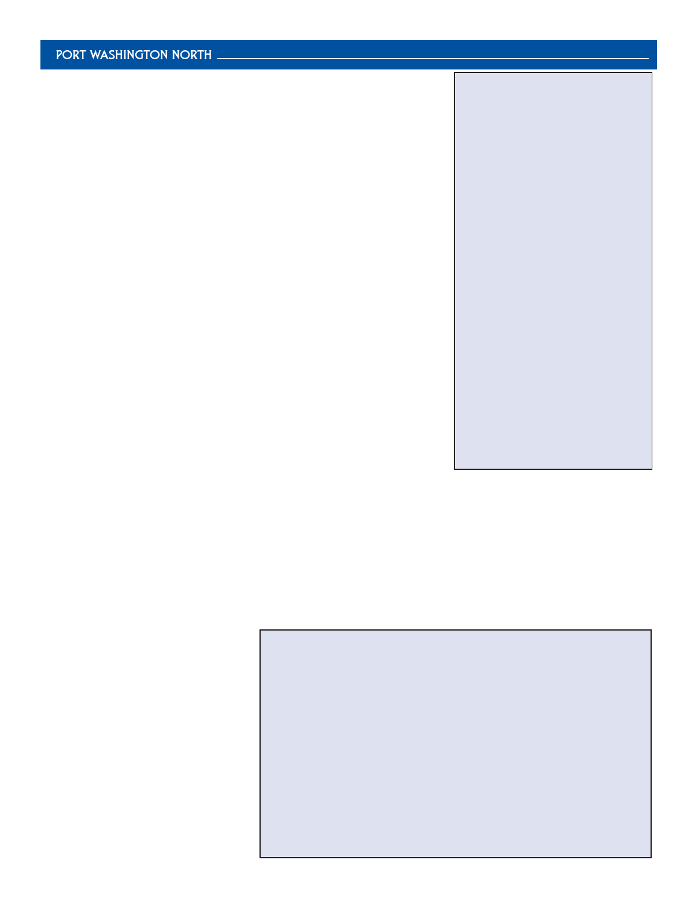

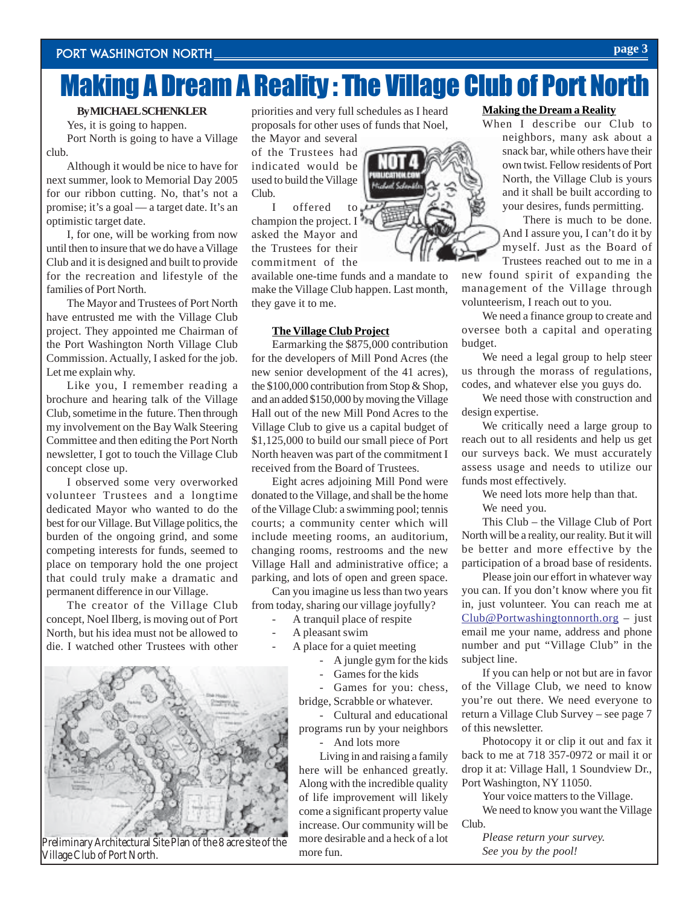# Making A Dream A Reality : The Village Club of Port North

**By MICHAEL SCHENKLER**

Yes, it is going to happen. Port North is going to have a Village club.

Although it would be nice to have for next summer, look to Memorial Day 2005 for our ribbon cutting. No, that's not a promise; it's a goal — a target date. It's an optimistic target date.

I, for one, will be working from now until then to insure that we do have a Village Club and it is designed and built to provide for the recreation and lifestyle of the families of Port North.

The Mayor and Trustees of Port North have entrusted me with the Village Club project. They appointed me Chairman of the Port Washington North Village Club Commission. Actually, I asked for the job. Let me explain why.

Like you, I remember reading a brochure and hearing talk of the Village Club, sometime in the future. Then through my involvement on the Bay Walk Steering Committee and then editing the Port North newsletter, I got to touch the Village Club concept close up.

I observed some very overworked volunteer Trustees and a longtime dedicated Mayor who wanted to do the best for our Village. But Village politics, the burden of the ongoing grind, and some competing interests for funds, seemed to place on temporary hold the one project that could truly make a dramatic and permanent difference in our Village.

The creator of the Village Club concept, Noel Ilberg, is moving out of Port North, but his idea must not be allowed to die. I watched other Trustees with other



Preliminary Architectural Site Plan of the 8 acre site of the Village Club of Port North.

priorities and very full schedules as I heard proposals for other uses of funds that Noel,

the Mayor and several of the Trustees had indicated would be used to build the Village  $C<sub>l</sub>$ ub.

I offered to champion the project. I asked the Mayor and the Trustees for their commitment of the

available one-time funds and a mandate to make the Village Club happen. Last month, they gave it to me.

#### **The Village Club Project**

Earmarking the \$875,000 contribution for the developers of Mill Pond Acres (the new senior development of the 41 acres), the \$100,000 contribution from Stop & Shop, and an added \$150,000 by moving the Village Hall out of the new Mill Pond Acres to the Village Club to give us a capital budget of \$1,125,000 to build our small piece of Port North heaven was part of the commitment I received from the Board of Trustees.

Eight acres adjoining Mill Pond were donated to the Village, and shall be the home of the Village Club: a swimming pool; tennis courts; a community center which will include meeting rooms, an auditorium, changing rooms, restrooms and the new Village Hall and administrative office; a parking, and lots of open and green space.

Can you imagine us less than two years from today, sharing our village joyfully?

- A tranquil place of respite
- A pleasant swim
	- A place for a quiet meeting
		- A jungle gym for the kids
		- Games for the kids

Games for you: chess, bridge, Scrabble or whatever.

- Cultural and educational programs run by your neighbors

- And lots more

Living in and raising a family here will be enhanced greatly. Along with the incredible quality of life improvement will likely come a significant property value increase. Our community will be more desirable and a heck of a lot more fun.

When I describe our Club to neighbors, many ask about a snack bar, while others have their own twist. Fellow residents of Port North, the Village Club is yours and it shall be built according to your desires, funds permitting.

> There is much to be done. And I assure you, I can't do it by myself. Just as the Board of Trustees reached out to me in a

new found spirit of expanding the management of the Village through volunteerism, I reach out to you.

We need a finance group to create and oversee both a capital and operating budget.

We need a legal group to help steer us through the morass of regulations, codes, and whatever else you guys do.

We need those with construction and design expertise.

We critically need a large group to reach out to all residents and help us get our surveys back. We must accurately assess usage and needs to utilize our funds most effectively.

We need lots more help than that.

We need you.

This Club – the Village Club of Port North will be a reality, our reality. But it will be better and more effective by the participation of a broad base of residents.

Please join our effort in whatever way you can. If you don't know where you fit in, just volunteer. You can reach me at  $Club@Port was hington north.org - just$ email me your name, address and phone number and put "Village Club" in the subject line.

If you can help or not but are in favor of the Village Club, we need to know you're out there. We need everyone to return a Village Club Survey – see page 7 of this newsletter.

Photocopy it or clip it out and fax it back to me at 718 357-0972 or mail it or drop it at: Village Hall, 1 Soundview Dr., Port Washington, NY 11050.

Your voice matters to the Village.

We need to know you want the Village Club.

*Please return your survey. See you by the pool!*



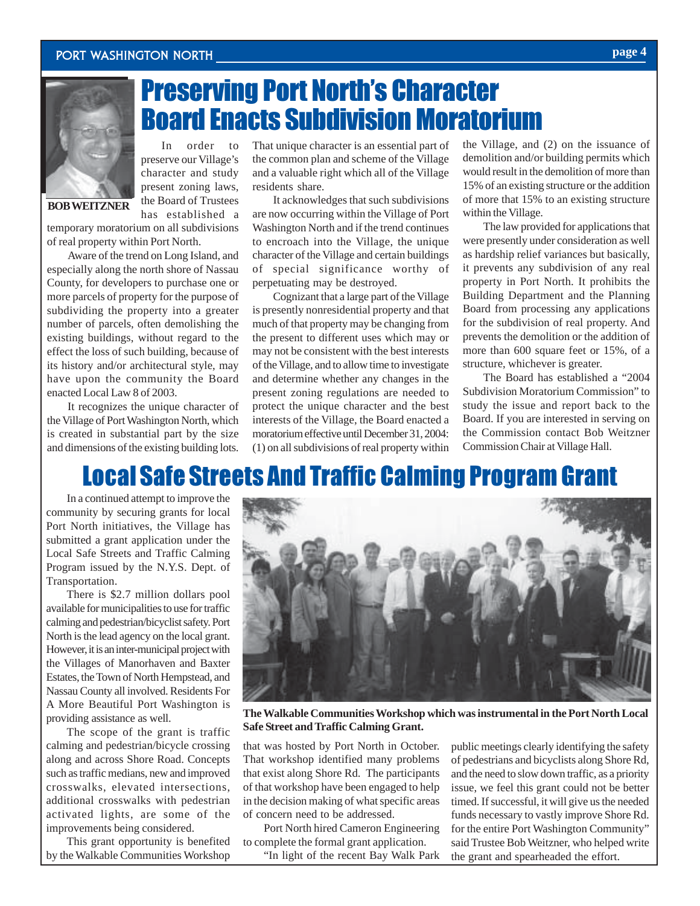### Port Washington North **page 4**



**BOB WEITZNER**

temporary moratorium on all subdivisions of real property within Port North.

In order to preserve our Village's character and study present zoning laws, the Board of Trustees has established a

Aware of the trend on Long Island, and especially along the north shore of Nassau County, for developers to purchase one or more parcels of property for the purpose of subdividing the property into a greater number of parcels, often demolishing the existing buildings, without regard to the effect the loss of such building, because of its history and/or architectural style, may have upon the community the Board enacted Local Law 8 of 2003.

It recognizes the unique character of the Village of Port Washington North, which is created in substantial part by the size and dimensions of the existing building lots.

That unique character is an essential part of the common plan and scheme of the Village and a valuable right which all of the Village residents share.

Board Enacts Subdivision Moratorium

Preserving Port North's Character

It acknowledges that such subdivisions are now occurring within the Village of Port Washington North and if the trend continues to encroach into the Village, the unique character of the Village and certain buildings of special significance worthy of perpetuating may be destroyed.

Cognizant that a large part of the Village is presently nonresidential property and that much of that property may be changing from the present to different uses which may or may not be consistent with the best interests of the Village, and to allow time to investigate and determine whether any changes in the present zoning regulations are needed to protect the unique character and the best interests of the Village, the Board enacted a moratorium effective until December 31, 2004: (1) on all subdivisions of real property within

the Village, and (2) on the issuance of demolition and/or building permits which would result in the demolition of more than 15% of an existing structure or the addition of more that 15% to an existing structure within the Village.

The law provided for applications that were presently under consideration as well as hardship relief variances but basically, it prevents any subdivision of any real property in Port North. It prohibits the Building Department and the Planning Board from processing any applications for the subdivision of real property. And prevents the demolition or the addition of more than 600 square feet or 15%, of a structure, whichever is greater.

The Board has established a "2004 Subdivision Moratorium Commission" to study the issue and report back to the Board. If you are interested in serving on the Commission contact Bob Weitzner Commission Chair at Village Hall.

### Local Safe Streets And Traffic Calming Program Grant

In a continued attempt to improve the community by securing grants for local Port North initiatives, the Village has submitted a grant application under the Local Safe Streets and Traffic Calming Program issued by the N.Y.S. Dept. of Transportation.

There is \$2.7 million dollars pool available for municipalities to use for traffic calming and pedestrian/bicyclist safety. Port North is the lead agency on the local grant. However, it is an inter-municipal project with the Villages of Manorhaven and Baxter Estates, the Town of North Hempstead, and Nassau County all involved. Residents For A More Beautiful Port Washington is providing assistance as well.

The scope of the grant is traffic calming and pedestrian/bicycle crossing along and across Shore Road. Concepts such as traffic medians, new and improved crosswalks, elevated intersections, additional crosswalks with pedestrian activated lights, are some of the improvements being considered.

This grant opportunity is benefited by the Walkable Communities Workshop



**The Walkable Communities Workshop which was instrumental in the Port North Local Safe Street and Traffic Calming Grant.**

that was hosted by Port North in October. That workshop identified many problems that exist along Shore Rd. The participants of that workshop have been engaged to help in the decision making of what specific areas of concern need to be addressed.

Port North hired Cameron Engineering to complete the formal grant application. "In light of the recent Bay Walk Park public meetings clearly identifying the safety of pedestrians and bicyclists along Shore Rd, and the need to slow down traffic, as a priority issue, we feel this grant could not be better timed. If successful, it will give us the needed funds necessary to vastly improve Shore Rd. for the entire Port Washington Community" said Trustee Bob Weitzner, who helped write the grant and spearheaded the effort.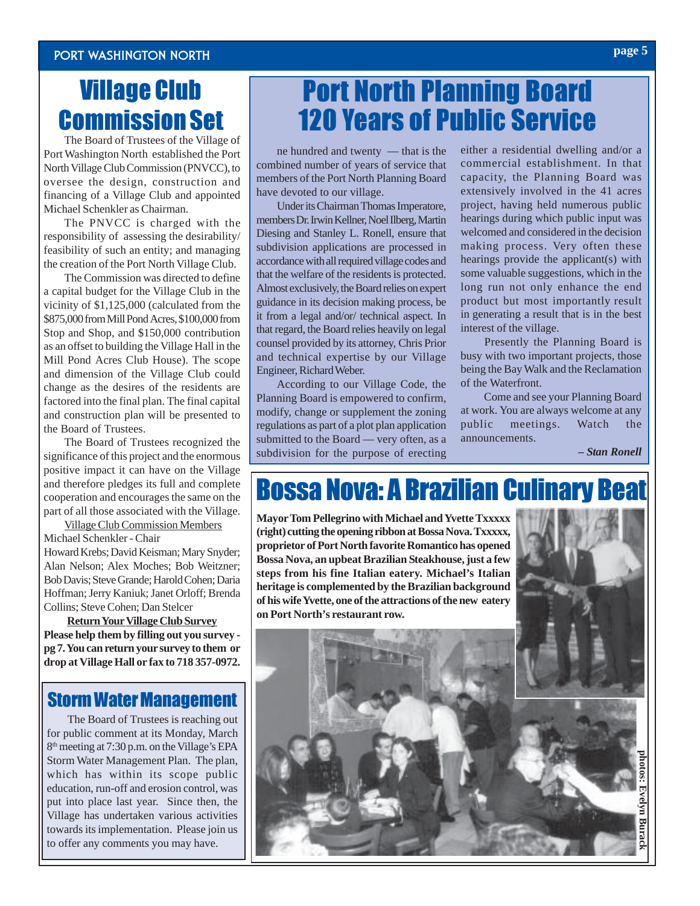## Village Club Commission Set

The Board of Trustees of the Village of Port Washington North established the Port North Village Club Commission (PNVCC), to oversee the design, construction and financing of a Village Club and appointed Michael Schenkler as Chairman.

The PNVCC is charged with the responsibility of assessing the desirability/ feasibility of such an entity; and managing the creation of the Port North Village Club.

The Commission was directed to define a capital budget for the Village Club in the vicinity of \$1,125,000 (calculated from the \$875,000 from Mill Pond Acres, \$100,000 from Stop and Shop, and \$150,000 contribution as an offset to building the Village Hall in the Mill Pond Acres Club House). The scope and dimension of the Village Club could change as the desires of the residents are factored into the final plan. The final capital and construction plan will be presented to the Board of Trustees.

The Board of Trustees recognized the significance of this project and the enormous positive impact it can have on the Village and therefore pledges its full and complete cooperation and encourages the same on the part of all those associated with the Village.

Village Club Commission Members Michael Schenkler - Chair Howard Krebs; David Keisman; Mary Snyder; Alan Nelson; Alex Moches; Bob Weitzner; Bob Davis; Steve Grande; Harold Cohen; Daria Hoffman; Jerry Kaniuk; Janet Orloff; Brenda Collins; Steve Cohen; Dan Stelcer

**Return Your Village Club Survey Please help them by filling out you survey pg 7. You can return your survey to them or drop at Village Hall or fax to 718 357-0972.**

### Storm Water Management

The Board of Trustees is reaching out for public comment at its Monday, March 8<sup>th</sup> meeting at 7:30 p.m. on the Village's EPA Storm Water Management Plan. The plan, which has within its scope public education, run-off and erosion control, was put into place last year. Since then, the Village has undertaken various activities towards its implementation. Please join us to offer any comments you may have.

# Port North Planning Board 120 Years of Public Service

ne hundred and twenty — that is the combined number of years of service that members of the Port North Planning Board have devoted to our village.

Under its Chairman Thomas Imperatore, members Dr. Irwin Kellner, Noel Ilberg, Martin Diesing and Stanley L. Ronell, ensure that subdivision applications are processed in accordance with all required village codes and that the welfare of the residents is protected. Almost exclusively, the Board relies on expert guidance in its decision making process, be it from a legal and/or/ technical aspect. In that regard, the Board relies heavily on legal counsel provided by its attorney, Chris Prior and technical expertise by our Village Engineer, Richard Weber.

According to our Village Code, the Planning Board is empowered to confirm, modify, change or supplement the zoning regulations as part of a plot plan application submitted to the Board — very often, as a subdivision for the purpose of erecting either a residential dwelling and/or a commercial establishment. In that capacity, the Planning Board was extensively involved in the 41 acres project, having held numerous public hearings during which public input was welcomed and considered in the decision making process. Very often these hearings provide the applicant(s) with some valuable suggestions, which in the long run not only enhance the end product but most importantly result in generating a result that is in the best interest of the village.

 Presently the Planning Board is busy with two important projects, those being the Bay Walk and the Reclamation of the Waterfront.

 Come and see your Planning Board at work. You are always welcome at any public meetings. Watch the announcements.

 *– Stan Ronell*

# Bossa Nova: A Brazilian Culinary Beat

**Mayor Tom Pellegrino with Michael and Yvette Txxxxx (right) cutting the opening ribbon at Bossa Nova. Txxxxx, proprietor of Port North favorite Romantico has opened Bossa Nova, an upbeat Brazilian Steakhouse, just a few steps from his fine Italian eatery. Michael's Italian heritage is complemented by the Brazilian background of his wife Yvette, one of the attractions of the new eatery on Port North's restaurant row.**



**photos: Evelyn Burack**

**Burac** 

Evelyn

hotos:

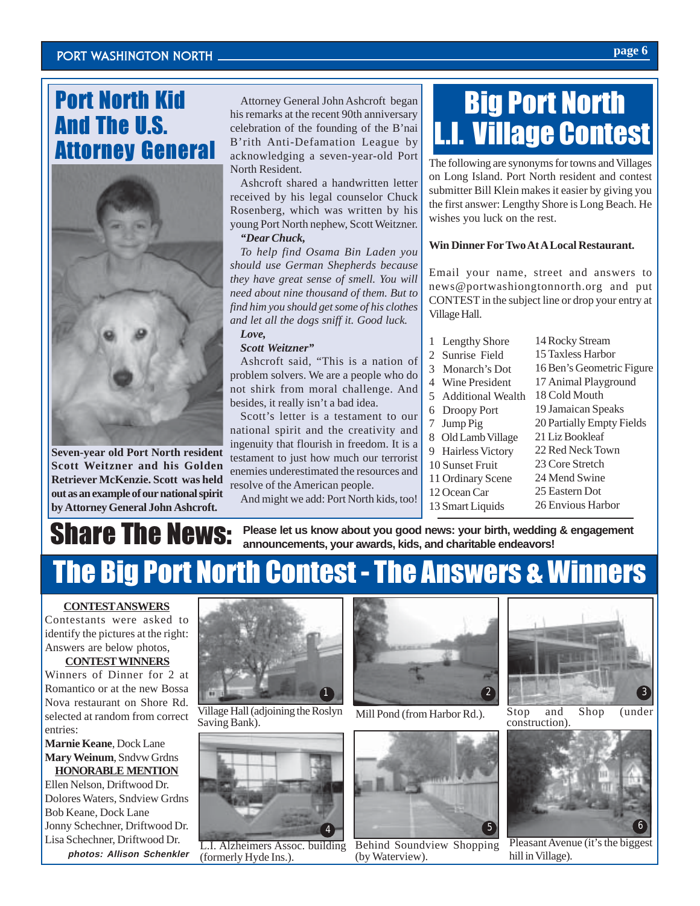### PORT WASHINGTON NORTH **page 6**

### Port North Kid And The U.S. Attorney General



**Seven-year old Port North resident Scott Weitzner and his Golden Retriever McKenzie. Scott was held out as an example of our national spirit by Attorney General John Ashcroft.**

Attorney General John Ashcroft began his remarks at the recent 90th anniversary celebration of the founding of the B'nai B'rith Anti-Defamation League by acknowledging a seven-year-old Port North Resident.

Ashcroft shared a handwritten letter received by his legal counselor Chuck Rosenberg, which was written by his young Port North nephew, Scott Weitzner. *"Dear Chuck,*

*To help find Osama Bin Laden you should use German Shepherds because they have great sense of smell. You will need about nine thousand of them. But to find him you should get some of his clothes and let all the dogs sniff it. Good luck.*

### *Love,*

#### *Scott Weitzner"*

Ashcroft said, "This is a nation of problem solvers. We are a people who do not shirk from moral challenge. And besides, it really isn't a bad idea.

Scott's letter is a testament to our national spirit and the creativity and ingenuity that flourish in freedom. It is a testament to just how much our terrorist enemies underestimated the resources and resolve of the American people.

And might we add: Port North kids, too!

# Big Port North L.I. Village Contest

The following are synonyms for towns and Villages on Long Island. Port North resident and contest submitter Bill Klein makes it easier by giving you the first answer: Lengthy Shore is Long Beach. He wishes you luck on the rest.

#### **Win Dinner For Two At A Local Restaurant.**

Email your name, street and answers to news@portwashiongtonnorth.org and put CONTEST in the subject line or drop your entry at Village Hall.

- 1 Lengthy Shore
- 2 Sunrise Field
- 3 Monarch's Dot
- 4 Wine President
- 5 Additional Wealth 18 Cold Mouth
- 6 Droopy Port
- 7 Jump Pig
- 8 Old Lamb Village
- 9 Hairless Victory
- 10 Sunset Fruit
- 11 Ordinary Scene
- 12 Ocean Car
- 13 Smart Liquids
- 14 Rocky Stream 15 Taxless Harbor
- 16 Ben's Geometric Figure
- 17 Animal Playground
- 
- 19 Jamaican Speaks
- 20 Partially Empty Fields
- 21 Liz Bookleaf
- 22 Red Neck Town
- 23 Core Stretch
- 24 Mend Swine
- 25 Eastern Dot
- 26 Envious Harbor

**Please let us know about you good news: your birth, wedding & engagement announcements, your awards, kids, and charitable endeavors!** Share The News:

# The Big Port North Contest - The Answers & Winners

#### **CONTESTANSWERS**

Contestants were asked to identify the pictures at the right: Answers are below photos,

#### **CONTEST WINNERS**

Winners of Dinner for 2 at Romantico or at the new Bossa Nova restaurant on Shore Rd. selected at random from correct entries:

**Marnie Keane**, Dock Lane **Mary Weinum**, Sndvw Grdns

**HONORABLE MENTION**

Ellen Nelson, Driftwood Dr. Dolores Waters, Sndview Grdns Bob Keane, Dock Lane Jonny Schechner, Driftwood Dr. Lisa Schechner, Driftwood Dr. **photos: Allison Schenkler**



Village Hall (adjoining the Roslyn<br>Saving Bank).



L.I. Alzheimers Assoc. building (formerly Hyde Ins.).





Behind Soundview Shopping (by Waterview).



Mill Pond (from Harbor Rd.). Stop and Shop (under construction).



Pleasant Avenue (it's the biggest hill in Village).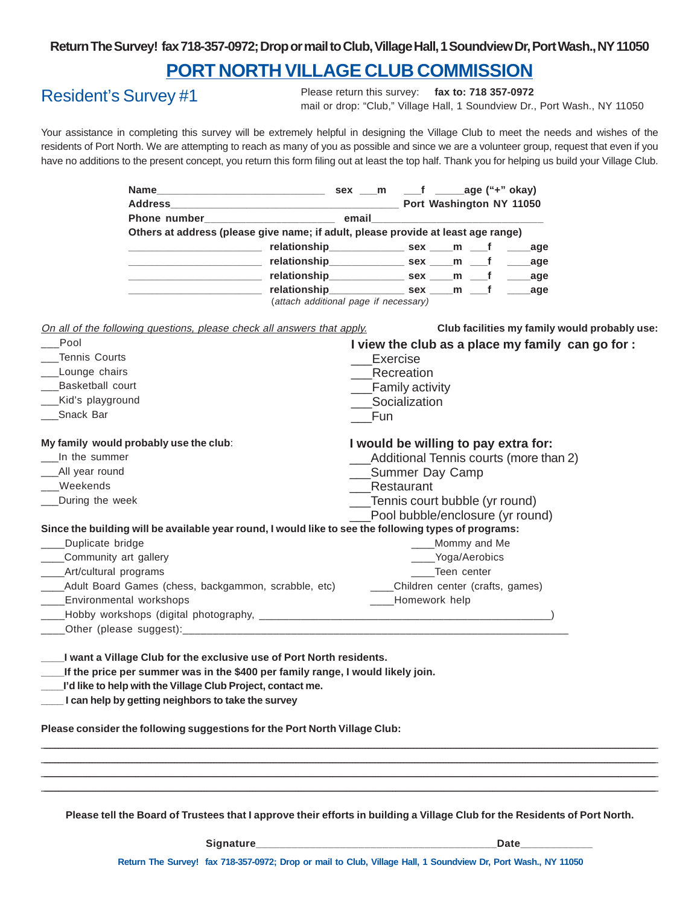### **Return The Survey! fax 718-357-0972; Drop or mail to Club, Village Hall, 1 Soundview Dr, Port Wash., NY 11050**

### **PORT NORTH VILLAGE CLUB COMMISSION**

### Resident's Survey #1

Please return this survey: **fax to: 718 357-0972** mail or drop: "Club," Village Hall, 1 Soundview Dr., Port Wash., NY 11050

Your assistance in completing this survey will be extremely helpful in designing the Village Club to meet the needs and wishes of the residents of Port North. We are attempting to reach as many of you as possible and since we are a volunteer group, request that even if you have no additions to the present concept, you return this form filing out at least the top half. Thank you for helping us build your Village Club.

|                                                                                   |                                                       |       |  |  | Port Washington NY 11050 |
|-----------------------------------------------------------------------------------|-------------------------------------------------------|-------|--|--|--------------------------|
|                                                                                   |                                                       | email |  |  |                          |
| Others at address (please give name; if adult, please provide at least age range) |                                                       |       |  |  |                          |
|                                                                                   | relationship_________________ sex ____m ___f ____age  |       |  |  |                          |
|                                                                                   | relationship_________________ sex ____m ___f _____age |       |  |  |                          |
|                                                                                   | relationship_________________ sex ____m ___f _____age |       |  |  |                          |
|                                                                                   | relationship_________________ sex ____m __f ____age   |       |  |  |                          |
|                                                                                   | (attach additional page if necessary)                 |       |  |  |                          |

On all of the following questions, please check all answers that apply. **Club facilities my family would probably use:**

| Pool                                                                                                  | I view the club as a place my family can go for : |  |  |  |  |  |
|-------------------------------------------------------------------------------------------------------|---------------------------------------------------|--|--|--|--|--|
| <b>Tennis Courts</b>                                                                                  | Exercise                                          |  |  |  |  |  |
| Lounge chairs                                                                                         | Recreation                                        |  |  |  |  |  |
| <b>Basketball court</b>                                                                               | Family activity<br>Socialization                  |  |  |  |  |  |
| _Kid's playground                                                                                     |                                                   |  |  |  |  |  |
| Snack Bar                                                                                             | – Fun                                             |  |  |  |  |  |
| My family would probably use the club:                                                                | I would be willing to pay extra for:              |  |  |  |  |  |
| In the summer                                                                                         | __Additional Tennis courts (more than 2)          |  |  |  |  |  |
| _All year round                                                                                       | ___Summer Day Camp                                |  |  |  |  |  |
| __Weekends                                                                                            | Restaurant                                        |  |  |  |  |  |
| During the week                                                                                       | ___Tennis court bubble (yr round)                 |  |  |  |  |  |
|                                                                                                       | Pool bubble/enclosure (yr round)                  |  |  |  |  |  |
| Since the building will be available year round, I would like to see the following types of programs: |                                                   |  |  |  |  |  |
| Duplicate bridge                                                                                      | Mommy and Me                                      |  |  |  |  |  |
| Community art gallery                                                                                 | ___Yoga/Aerobics                                  |  |  |  |  |  |
| ____Art/cultural programs                                                                             | Teen center                                       |  |  |  |  |  |
| ____Adult Board Games (chess, backgammon, scrabble, etc)                                              | ____Children center (crafts, games)               |  |  |  |  |  |
| ____Environmental workshops                                                                           | ____Homework help                                 |  |  |  |  |  |
|                                                                                                       |                                                   |  |  |  |  |  |
|                                                                                                       |                                                   |  |  |  |  |  |
|                                                                                                       |                                                   |  |  |  |  |  |
| ___I want a Village Club for the exclusive use of Port North residents.                               |                                                   |  |  |  |  |  |
| ___If the price per summer was in the \$400 per family range, I would likely join.                    |                                                   |  |  |  |  |  |
| I'd like to help with the Village Club Project, contact me.                                           |                                                   |  |  |  |  |  |
| I can help by getting neighbors to take the survey                                                    |                                                   |  |  |  |  |  |
|                                                                                                       |                                                   |  |  |  |  |  |
| Please consider the following suggestions for the Port North Village Club:                            |                                                   |  |  |  |  |  |
|                                                                                                       |                                                   |  |  |  |  |  |
|                                                                                                       |                                                   |  |  |  |  |  |
|                                                                                                       |                                                   |  |  |  |  |  |

**Please tell the Board of Trustees that I approve their efforts in building a Village Club for the Residents of Port North.**

\_\_\_\_\_\_\_\_\_\_\_\_\_\_\_\_\_\_\_\_\_\_\_\_\_\_\_\_\_\_\_\_\_\_\_\_\_\_\_\_\_\_\_\_\_\_\_\_\_\_\_\_\_\_\_\_\_\_\_\_\_\_\_\_\_\_\_\_\_\_\_\_\_\_\_\_\_\_\_\_\_\_\_\_\_\_\_\_\_\_\_\_\_\_\_\_\_\_\_\_\_\_\_\_\_\_\_\_\_\_\_\_\_\_\_\_\_\_\_\_\_\_\_\_\_\_\_\_\_\_\_\_\_\_\_\_\_\_\_\_\_\_\_\_\_\_\_\_\_\_\_\_\_\_\_\_\_\_\_\_\_\_\_\_\_\_\_\_\_\_\_\_\_\_\_\_\_\_\_\_\_\_\_\_\_\_\_\_\_\_\_\_\_\_\_\_\_\_\_\_\_\_\_\_\_\_\_\_\_\_\_\_\_\_\_

**Signature\_\_\_\_\_\_\_\_\_\_\_\_\_\_\_\_\_\_\_\_\_\_\_\_\_\_\_\_\_\_\_\_\_\_\_\_\_\_\_\_Date\_\_\_\_\_\_\_\_\_\_\_\_**

**Return The Survey! fax 718-357-0972; Drop or mail to Club, Village Hall, 1 Soundview Dr, Port Wash., NY 11050**